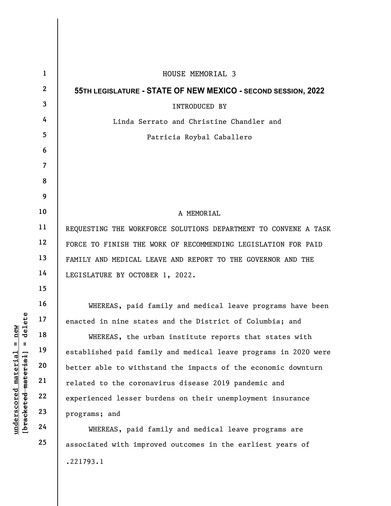|                                                 | $\mathbf{1}$   | HOUSE MEMORIAL 3                                                |
|-------------------------------------------------|----------------|-----------------------------------------------------------------|
|                                                 | $\mathbf{2}$   | 55TH LEGISLATURE - STATE OF NEW MEXICO - SECOND SESSION, 2022   |
|                                                 | $\mathbf{3}$   | INTRODUCED BY                                                   |
|                                                 | 4              | Linda Serrato and Christine Chandler and                        |
|                                                 | 5              | Patricia Roybal Caballero                                       |
|                                                 | 6              |                                                                 |
|                                                 | $\overline{7}$ |                                                                 |
|                                                 | 8              |                                                                 |
|                                                 | 9              |                                                                 |
|                                                 | 10             | A MEMORIAL                                                      |
|                                                 | 11             | REQUESTING THE WORKFORCE SOLUTIONS DEPARTMENT TO CONVENE A TASK |
|                                                 | 12             | FORCE TO FINISH THE WORK OF RECOMMENDING LEGISLATION FOR PAID   |
|                                                 | 13             | FAMILY AND MEDICAL LEAVE AND REPORT TO THE GOVERNOR AND THE     |
| delete<br>new<br>$\mathbb{I}$<br>$\blacksquare$ | 14             | LEGISLATURE BY OCTOBER 1, 2022.                                 |
|                                                 | 15             |                                                                 |
|                                                 | 16             | WHEREAS, paid family and medical leave programs have been       |
|                                                 | 17             | enacted in nine states and the District of Columbia; and        |
|                                                 | 18             | WHEREAS, the urban institute reports that states with           |
|                                                 | 19             | established paid family and medical leave programs in 2020 were |
| <u>material</u>                                 | 20             | better able to withstand the impacts of the economic downturn   |
|                                                 | 21             | related to the coronavirus disease 2019 pandemic and            |
|                                                 | 22             | experienced lesser burdens on their unemployment insurance      |
| [bracketed material]<br>underscored             | 23             | programs; and                                                   |
|                                                 | 24             | WHEREAS, paid family and medical leave programs are             |
|                                                 | 25             | associated with improved outcomes in the earliest years of      |
|                                                 |                | .221793.1                                                       |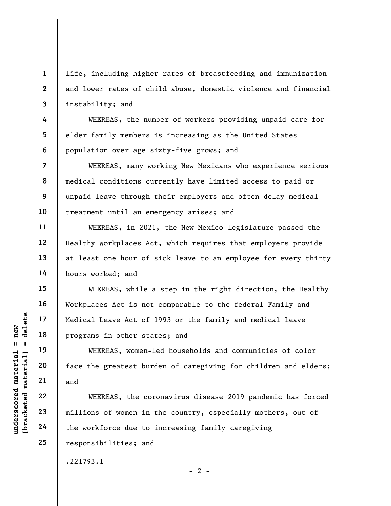life, including higher rates of breastfeeding and immunization and lower rates of child abuse, domestic violence and financial instability; and

WHEREAS, the number of workers providing unpaid care for elder family members is increasing as the United States population over age sixty-five grows; and

WHEREAS, many working New Mexicans who experience serious medical conditions currently have limited access to paid or unpaid leave through their employers and often delay medical treatment until an emergency arises; and

WHEREAS, in 2021, the New Mexico legislature passed the Healthy Workplaces Act, which requires that employers provide at least one hour of sick leave to an employee for every thirty hours worked; and

WHEREAS, while a step in the right direction, the Healthy Workplaces Act is not comparable to the federal Family and Medical Leave Act of 1993 or the family and medical leave programs in other states; and

WHEREAS, women-led households and communities of color face the greatest burden of caregiving for children and elders; and

underscored material species of the greatest burning and the weakened material of the greatest burning and the workforce due to the workforce due to WHEREAS, the coronavirus disease 2019 pandemic has forced millions of women in the country, especially mothers, out of the workforce due to increasing family caregiving responsibilities; and

.221793.1

1

2

3

4

5

6

7

8

9

10

11

12

13

14

15

16

17

18

19

20

21

22

23

24

25

 $- 2 -$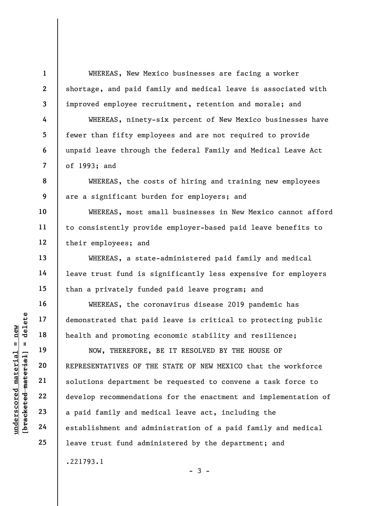1 2

3

4

5

6

7

8

9

10

11

12

13

14

15

16

17

18

19

20

21

22

23

24

25

WHEREAS, New Mexico businesses are facing a worker shortage, and paid family and medical leave is associated with improved employee recruitment, retention and morale; and

WHEREAS, ninety-six percent of New Mexico businesses have fewer than fifty employees and are not required to provide unpaid leave through the federal Family and Medical Leave Act of 1993; and

WHEREAS, the costs of hiring and training new employees are a significant burden for employers; and

WHEREAS, most small businesses in New Mexico cannot afford to consistently provide employer-based paid leave benefits to their employees; and

WHEREAS, a state-administered paid family and medical leave trust fund is significantly less expensive for employers than a privately funded paid leave program; and

WHEREAS, the coronavirus disease 2019 pandemic has demonstrated that paid leave is critical to protecting public health and promoting economic stability and resilience;

UN DERESENTATIVES OF THE REPORT OF THE REPORT OF THE SOLUTION OF THE SOLUTION OF THE SOLUTION OF THE SOLUTION OF THE SOLUTION OF THE SOLUTION OF THE SOLUTION OF THE SOLUTION OF THE SOLUTION OF THE SOLUTION OF THE SOLUTION NOW, THEREFORE, BE IT RESOLVED BY THE HOUSE OF REPRESENTATIVES OF THE STATE OF NEW MEXICO that the workforce solutions department be requested to convene a task force to develop recommendations for the enactment and implementation of a paid family and medical leave act, including the establishment and administration of a paid family and medical leave trust fund administered by the department; and .221793.1

 $-3 -$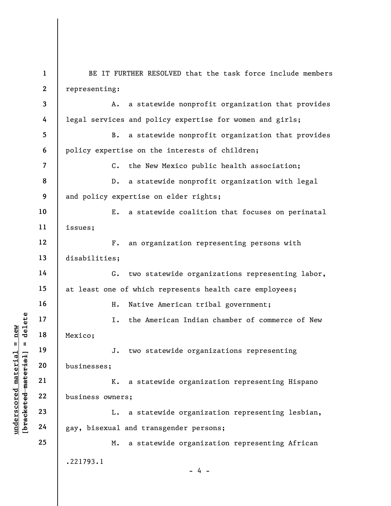underscored material material material material material material material material material material discrete<br>discreption of the material material material control material material discrete<br>discreption of the material ma 1 2 3 4 5 6 7 8 9 10 11 12 13 14 15 16 17 18 19 20 21 22 23 24 25 BE IT FURTHER RESOLVED that the task force include members representing: A. a statewide nonprofit organization that provides legal services and policy expertise for women and girls; B. a statewide nonprofit organization that provides policy expertise on the interests of children; C. the New Mexico public health association; D. a statewide nonprofit organization with legal and policy expertise on elder rights; E. a statewide coalition that focuses on perinatal issues; F. an organization representing persons with disabilities; G. two statewide organizations representing labor, at least one of which represents health care employees; H. Native American tribal government; I. the American Indian chamber of commerce of New Mexico; J. two statewide organizations representing businesses; K. a statewide organization representing Hispano business owners; L. a statewide organization representing lesbian, gay, bisexual and transgender persons; M. a statewide organization representing African .221793.1  $- 4 -$